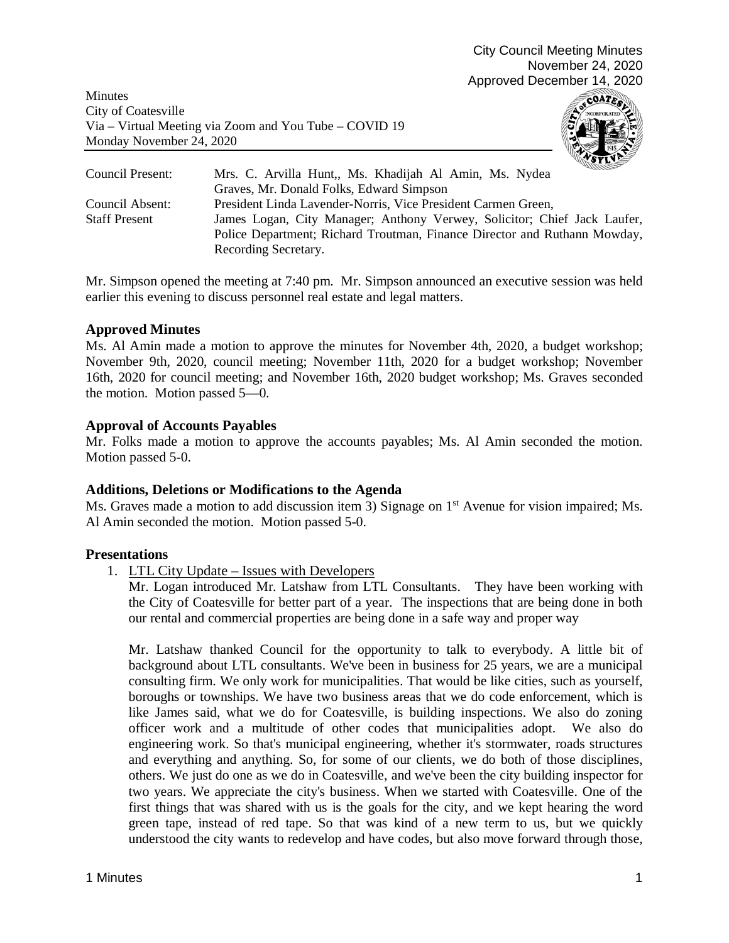Minutes City of Coatesville Via – Virtual Meeting via Zoom and You Tube – COVID 19 Monday November 24, 2020



| Council Present:     | mmm<br>Mrs. C. Arvilla Hunt,, Ms. Khadijah Al Amin, Ms. Nydea             |
|----------------------|---------------------------------------------------------------------------|
|                      | Graves, Mr. Donald Folks, Edward Simpson                                  |
| Council Absent:      | President Linda Lavender-Norris, Vice President Carmen Green,             |
| <b>Staff Present</b> | James Logan, City Manager; Anthony Verwey, Solicitor; Chief Jack Laufer,  |
|                      | Police Department; Richard Troutman, Finance Director and Ruthann Mowday, |
|                      | Recording Secretary.                                                      |

Mr. Simpson opened the meeting at 7:40 pm. Mr. Simpson announced an executive session was held earlier this evening to discuss personnel real estate and legal matters.

## **Approved Minutes**

Ms. Al Amin made a motion to approve the minutes for November 4th, 2020, a budget workshop; November 9th, 2020, council meeting; November 11th, 2020 for a budget workshop; November 16th, 2020 for council meeting; and November 16th, 2020 budget workshop; Ms. Graves seconded the motion. Motion passed 5—0.

# **Approval of Accounts Payables**

Mr. Folks made a motion to approve the accounts payables; Ms. Al Amin seconded the motion. Motion passed 5-0.

## **Additions, Deletions or Modifications to the Agenda**

Ms. Graves made a motion to add discussion item 3) Signage on 1<sup>st</sup> Avenue for vision impaired; Ms. Al Amin seconded the motion. Motion passed 5-0.

## **Presentations**

1. LTL City Update – Issues with Developers

Mr. Logan introduced Mr. Latshaw from LTL Consultants. They have been working with the City of Coatesville for better part of a year. The inspections that are being done in both our rental and commercial properties are being done in a safe way and proper way

Mr. Latshaw thanked Council for the opportunity to talk to everybody. A little bit of background about LTL consultants. We've been in business for 25 years, we are a municipal consulting firm. We only work for municipalities. That would be like cities, such as yourself, boroughs or townships. We have two business areas that we do code enforcement, which is like James said, what we do for Coatesville, is building inspections. We also do zoning officer work and a multitude of other codes that municipalities adopt. We also do engineering work. So that's municipal engineering, whether it's stormwater, roads structures and everything and anything. So, for some of our clients, we do both of those disciplines, others. We just do one as we do in Coatesville, and we've been the city building inspector for two years. We appreciate the city's business. When we started with Coatesville. One of the first things that was shared with us is the goals for the city, and we kept hearing the word green tape, instead of red tape. So that was kind of a new term to us, but we quickly understood the city wants to redevelop and have codes, but also move forward through those,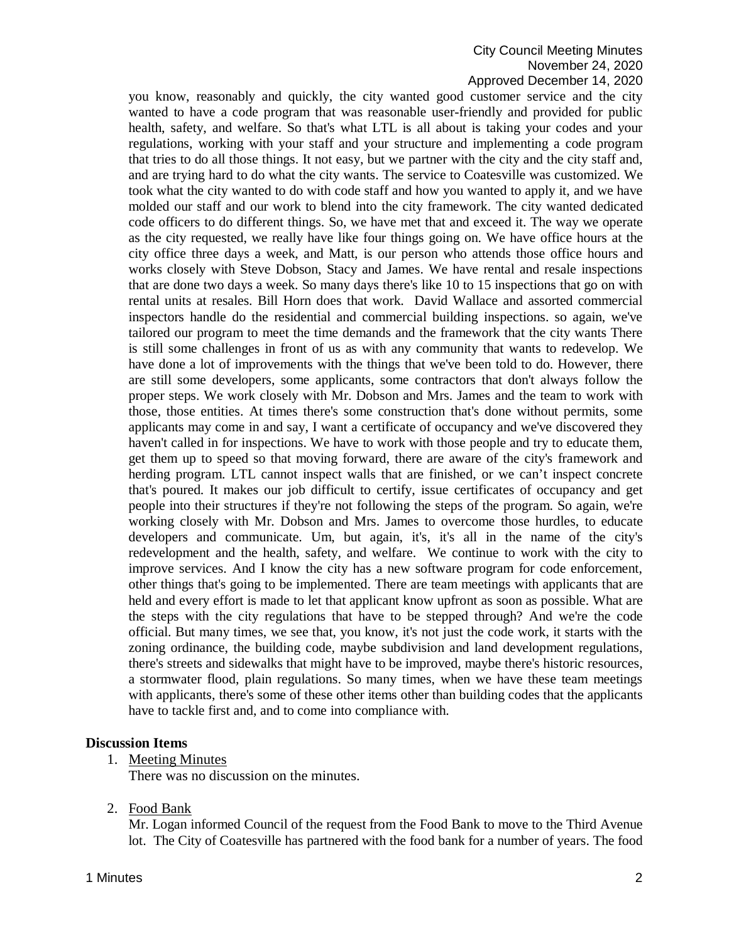# City Council Meeting Minutes November 24, 2020 Approved December 14, 2020

you know, reasonably and quickly, the city wanted good customer service and the city wanted to have a code program that was reasonable user-friendly and provided for public health, safety, and welfare. So that's what LTL is all about is taking your codes and your regulations, working with your staff and your structure and implementing a code program that tries to do all those things. It not easy, but we partner with the city and the city staff and, and are trying hard to do what the city wants. The service to Coatesville was customized. We took what the city wanted to do with code staff and how you wanted to apply it, and we have molded our staff and our work to blend into the city framework. The city wanted dedicated code officers to do different things. So, we have met that and exceed it. The way we operate as the city requested, we really have like four things going on. We have office hours at the city office three days a week, and Matt, is our person who attends those office hours and works closely with Steve Dobson, Stacy and James. We have rental and resale inspections that are done two days a week. So many days there's like 10 to 15 inspections that go on with rental units at resales. Bill Horn does that work. David Wallace and assorted commercial inspectors handle do the residential and commercial building inspections. so again, we've tailored our program to meet the time demands and the framework that the city wants There is still some challenges in front of us as with any community that wants to redevelop. We have done a lot of improvements with the things that we've been told to do. However, there are still some developers, some applicants, some contractors that don't always follow the proper steps. We work closely with Mr. Dobson and Mrs. James and the team to work with those, those entities. At times there's some construction that's done without permits, some applicants may come in and say, I want a certificate of occupancy and we've discovered they haven't called in for inspections. We have to work with those people and try to educate them, get them up to speed so that moving forward, there are aware of the city's framework and herding program. LTL cannot inspect walls that are finished, or we can't inspect concrete that's poured. It makes our job difficult to certify, issue certificates of occupancy and get people into their structures if they're not following the steps of the program. So again, we're working closely with Mr. Dobson and Mrs. James to overcome those hurdles, to educate developers and communicate. Um, but again, it's, it's all in the name of the city's redevelopment and the health, safety, and welfare. We continue to work with the city to improve services. And I know the city has a new software program for code enforcement, other things that's going to be implemented. There are team meetings with applicants that are held and every effort is made to let that applicant know upfront as soon as possible. What are the steps with the city regulations that have to be stepped through? And we're the code official. But many times, we see that, you know, it's not just the code work, it starts with the zoning ordinance, the building code, maybe subdivision and land development regulations, there's streets and sidewalks that might have to be improved, maybe there's historic resources, a stormwater flood, plain regulations. So many times, when we have these team meetings with applicants, there's some of these other items other than building codes that the applicants have to tackle first and, and to come into compliance with.

## **Discussion Items**

1. Meeting Minutes

There was no discussion on the minutes.

2. Food Bank

Mr. Logan informed Council of the request from the Food Bank to move to the Third Avenue lot. The City of Coatesville has partnered with the food bank for a number of years. The food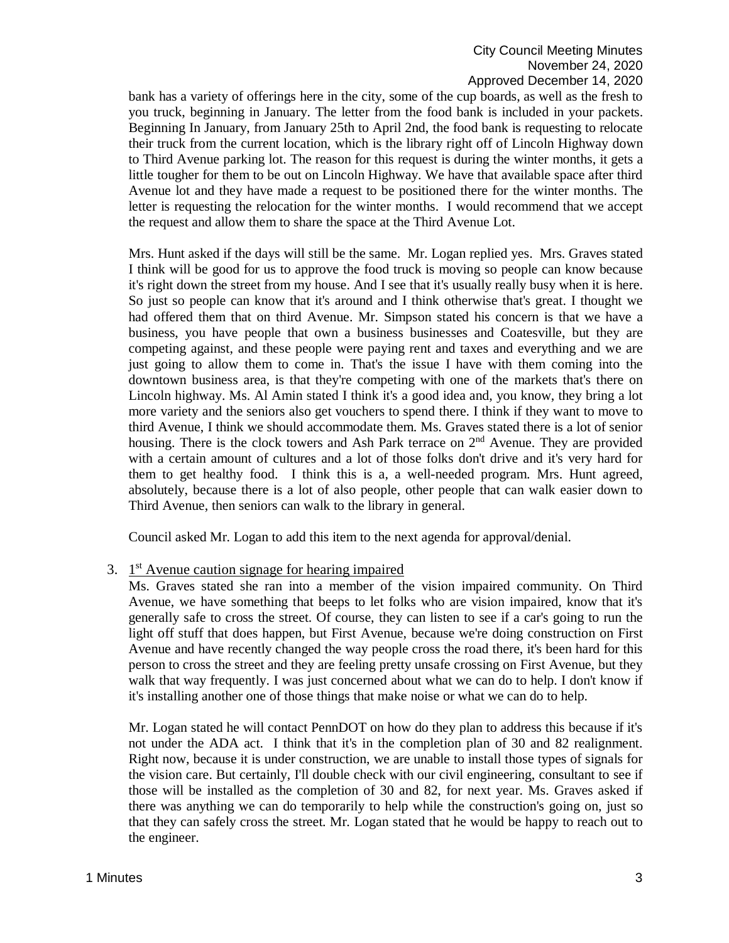bank has a variety of offerings here in the city, some of the cup boards, as well as the fresh to you truck, beginning in January. The letter from the food bank is included in your packets. Beginning In January, from January 25th to April 2nd, the food bank is requesting to relocate their truck from the current location, which is the library right off of Lincoln Highway down to Third Avenue parking lot. The reason for this request is during the winter months, it gets a little tougher for them to be out on Lincoln Highway. We have that available space after third Avenue lot and they have made a request to be positioned there for the winter months. The letter is requesting the relocation for the winter months. I would recommend that we accept the request and allow them to share the space at the Third Avenue Lot.

Mrs. Hunt asked if the days will still be the same. Mr. Logan replied yes. Mrs. Graves stated I think will be good for us to approve the food truck is moving so people can know because it's right down the street from my house. And I see that it's usually really busy when it is here. So just so people can know that it's around and I think otherwise that's great. I thought we had offered them that on third Avenue. Mr. Simpson stated his concern is that we have a business, you have people that own a business businesses and Coatesville, but they are competing against, and these people were paying rent and taxes and everything and we are just going to allow them to come in. That's the issue I have with them coming into the downtown business area, is that they're competing with one of the markets that's there on Lincoln highway. Ms. Al Amin stated I think it's a good idea and, you know, they bring a lot more variety and the seniors also get vouchers to spend there. I think if they want to move to third Avenue, I think we should accommodate them. Ms. Graves stated there is a lot of senior housing. There is the clock towers and Ash Park terrace on  $2<sup>nd</sup>$  Avenue. They are provided with a certain amount of cultures and a lot of those folks don't drive and it's very hard for them to get healthy food. I think this is a, a well-needed program. Mrs. Hunt agreed, absolutely, because there is a lot of also people, other people that can walk easier down to Third Avenue, then seniors can walk to the library in general.

Council asked Mr. Logan to add this item to the next agenda for approval/denial.

## 3.  $1<sup>st</sup>$  Avenue caution signage for hearing impaired

Ms. Graves stated she ran into a member of the vision impaired community. On Third Avenue, we have something that beeps to let folks who are vision impaired, know that it's generally safe to cross the street. Of course, they can listen to see if a car's going to run the light off stuff that does happen, but First Avenue, because we're doing construction on First Avenue and have recently changed the way people cross the road there, it's been hard for this person to cross the street and they are feeling pretty unsafe crossing on First Avenue, but they walk that way frequently. I was just concerned about what we can do to help. I don't know if it's installing another one of those things that make noise or what we can do to help.

Mr. Logan stated he will contact PennDOT on how do they plan to address this because if it's not under the ADA act. I think that it's in the completion plan of 30 and 82 realignment. Right now, because it is under construction, we are unable to install those types of signals for the vision care. But certainly, I'll double check with our civil engineering, consultant to see if those will be installed as the completion of 30 and 82, for next year. Ms. Graves asked if there was anything we can do temporarily to help while the construction's going on, just so that they can safely cross the street. Mr. Logan stated that he would be happy to reach out to the engineer.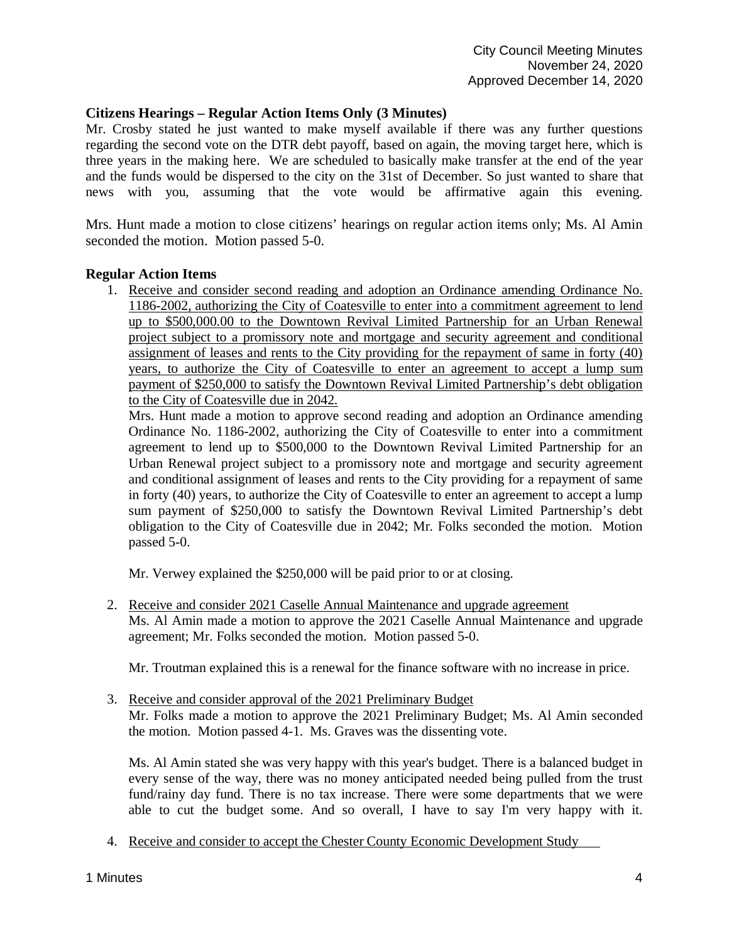## **Citizens Hearings – Regular Action Items Only (3 Minutes)**

Mr. Crosby stated he just wanted to make myself available if there was any further questions regarding the second vote on the DTR debt payoff, based on again, the moving target here, which is three years in the making here. We are scheduled to basically make transfer at the end of the year and the funds would be dispersed to the city on the 31st of December. So just wanted to share that news with you, assuming that the vote would be affirmative again this evening.

Mrs. Hunt made a motion to close citizens' hearings on regular action items only; Ms. Al Amin seconded the motion. Motion passed 5-0.

## **Regular Action Items**

1. Receive and consider second reading and adoption an Ordinance amending Ordinance No. 1186-2002, authorizing the City of Coatesville to enter into a commitment agreement to lend up to \$500,000.00 to the Downtown Revival Limited Partnership for an Urban Renewal project subject to a promissory note and mortgage and security agreement and conditional assignment of leases and rents to the City providing for the repayment of same in forty (40) years, to authorize the City of Coatesville to enter an agreement to accept a lump sum payment of \$250,000 to satisfy the Downtown Revival Limited Partnership's debt obligation to the City of Coatesville due in 2042.

Mrs. Hunt made a motion to approve second reading and adoption an Ordinance amending Ordinance No. 1186-2002, authorizing the City of Coatesville to enter into a commitment agreement to lend up to \$500,000 to the Downtown Revival Limited Partnership for an Urban Renewal project subject to a promissory note and mortgage and security agreement and conditional assignment of leases and rents to the City providing for a repayment of same in forty (40) years, to authorize the City of Coatesville to enter an agreement to accept a lump sum payment of \$250,000 to satisfy the Downtown Revival Limited Partnership's debt obligation to the City of Coatesville due in 2042; Mr. Folks seconded the motion. Motion passed 5-0.

Mr. Verwey explained the \$250,000 will be paid prior to or at closing.

2. Receive and consider 2021 Caselle Annual Maintenance and upgrade agreement Ms. Al Amin made a motion to approve the 2021 Caselle Annual Maintenance and upgrade agreement; Mr. Folks seconded the motion. Motion passed 5-0.

Mr. Troutman explained this is a renewal for the finance software with no increase in price.

3. Receive and consider approval of the 2021 Preliminary Budget Mr. Folks made a motion to approve the 2021 Preliminary Budget; Ms. Al Amin seconded the motion. Motion passed 4-1. Ms. Graves was the dissenting vote.

Ms. Al Amin stated she was very happy with this year's budget. There is a balanced budget in every sense of the way, there was no money anticipated needed being pulled from the trust fund/rainy day fund. There is no tax increase. There were some departments that we were able to cut the budget some. And so overall, I have to say I'm very happy with it.

4. Receive and consider to accept the Chester County Economic Development Study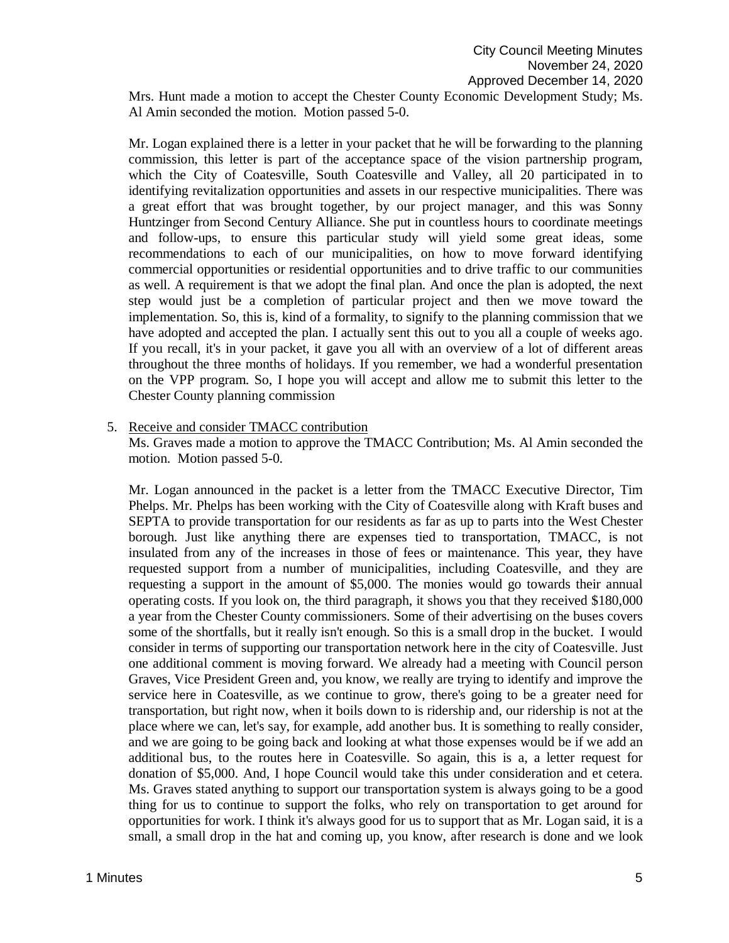Mrs. Hunt made a motion to accept the Chester County Economic Development Study; Ms. Al Amin seconded the motion. Motion passed 5-0.

Mr. Logan explained there is a letter in your packet that he will be forwarding to the planning commission, this letter is part of the acceptance space of the vision partnership program, which the City of Coatesville, South Coatesville and Valley, all 20 participated in to identifying revitalization opportunities and assets in our respective municipalities. There was a great effort that was brought together, by our project manager, and this was Sonny Huntzinger from Second Century Alliance. She put in countless hours to coordinate meetings and follow-ups, to ensure this particular study will yield some great ideas, some recommendations to each of our municipalities, on how to move forward identifying commercial opportunities or residential opportunities and to drive traffic to our communities as well. A requirement is that we adopt the final plan. And once the plan is adopted, the next step would just be a completion of particular project and then we move toward the implementation. So, this is, kind of a formality, to signify to the planning commission that we have adopted and accepted the plan. I actually sent this out to you all a couple of weeks ago. If you recall, it's in your packet, it gave you all with an overview of a lot of different areas throughout the three months of holidays. If you remember, we had a wonderful presentation on the VPP program. So, I hope you will accept and allow me to submit this letter to the Chester County planning commission

#### 5. Receive and consider TMACC contribution

Ms. Graves made a motion to approve the TMACC Contribution; Ms. Al Amin seconded the motion. Motion passed 5-0.

Mr. Logan announced in the packet is a letter from the TMACC Executive Director, Tim Phelps. Mr. Phelps has been working with the City of Coatesville along with Kraft buses and SEPTA to provide transportation for our residents as far as up to parts into the West Chester borough. Just like anything there are expenses tied to transportation, TMACC, is not insulated from any of the increases in those of fees or maintenance. This year, they have requested support from a number of municipalities, including Coatesville, and they are requesting a support in the amount of \$5,000. The monies would go towards their annual operating costs. If you look on, the third paragraph, it shows you that they received \$180,000 a year from the Chester County commissioners. Some of their advertising on the buses covers some of the shortfalls, but it really isn't enough. So this is a small drop in the bucket. I would consider in terms of supporting our transportation network here in the city of Coatesville. Just one additional comment is moving forward. We already had a meeting with Council person Graves, Vice President Green and, you know, we really are trying to identify and improve the service here in Coatesville, as we continue to grow, there's going to be a greater need for transportation, but right now, when it boils down to is ridership and, our ridership is not at the place where we can, let's say, for example, add another bus. It is something to really consider, and we are going to be going back and looking at what those expenses would be if we add an additional bus, to the routes here in Coatesville. So again, this is a, a letter request for donation of \$5,000. And, I hope Council would take this under consideration and et cetera. Ms. Graves stated anything to support our transportation system is always going to be a good thing for us to continue to support the folks, who rely on transportation to get around for opportunities for work. I think it's always good for us to support that as Mr. Logan said, it is a small, a small drop in the hat and coming up, you know, after research is done and we look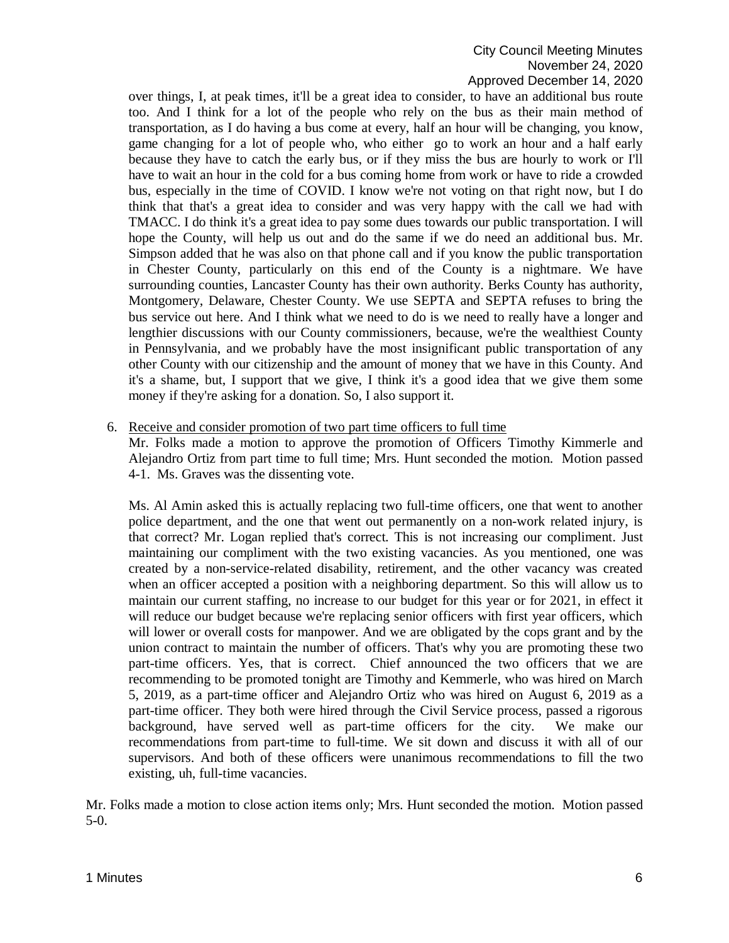# City Council Meeting Minutes November 24, 2020 Approved December 14, 2020

over things, I, at peak times, it'll be a great idea to consider, to have an additional bus route too. And I think for a lot of the people who rely on the bus as their main method of transportation, as I do having a bus come at every, half an hour will be changing, you know, game changing for a lot of people who, who either go to work an hour and a half early because they have to catch the early bus, or if they miss the bus are hourly to work or I'll have to wait an hour in the cold for a bus coming home from work or have to ride a crowded bus, especially in the time of COVID. I know we're not voting on that right now, but I do think that that's a great idea to consider and was very happy with the call we had with TMACC. I do think it's a great idea to pay some dues towards our public transportation. I will hope the County, will help us out and do the same if we do need an additional bus. Mr. Simpson added that he was also on that phone call and if you know the public transportation in Chester County, particularly on this end of the County is a nightmare. We have surrounding counties, Lancaster County has their own authority. Berks County has authority, Montgomery, Delaware, Chester County. We use SEPTA and SEPTA refuses to bring the bus service out here. And I think what we need to do is we need to really have a longer and lengthier discussions with our County commissioners, because, we're the wealthiest County in Pennsylvania, and we probably have the most insignificant public transportation of any other County with our citizenship and the amount of money that we have in this County. And it's a shame, but, I support that we give, I think it's a good idea that we give them some money if they're asking for a donation. So, I also support it.

#### 6. Receive and consider promotion of two part time officers to full time

Mr. Folks made a motion to approve the promotion of Officers Timothy Kimmerle and Alejandro Ortiz from part time to full time; Mrs. Hunt seconded the motion. Motion passed 4-1. Ms. Graves was the dissenting vote.

Ms. Al Amin asked this is actually replacing two full-time officers, one that went to another police department, and the one that went out permanently on a non-work related injury, is that correct? Mr. Logan replied that's correct. This is not increasing our compliment. Just maintaining our compliment with the two existing vacancies. As you mentioned, one was created by a non-service-related disability, retirement, and the other vacancy was created when an officer accepted a position with a neighboring department. So this will allow us to maintain our current staffing, no increase to our budget for this year or for 2021, in effect it will reduce our budget because we're replacing senior officers with first year officers, which will lower or overall costs for manpower. And we are obligated by the cops grant and by the union contract to maintain the number of officers. That's why you are promoting these two part-time officers. Yes, that is correct. Chief announced the two officers that we are recommending to be promoted tonight are Timothy and Kemmerle, who was hired on March 5, 2019, as a part-time officer and Alejandro Ortiz who was hired on August 6, 2019 as a part-time officer. They both were hired through the Civil Service process, passed a rigorous background, have served well as part-time officers for the city. We make our recommendations from part-time to full-time. We sit down and discuss it with all of our supervisors. And both of these officers were unanimous recommendations to fill the two existing, uh, full-time vacancies.

Mr. Folks made a motion to close action items only; Mrs. Hunt seconded the motion. Motion passed 5-0.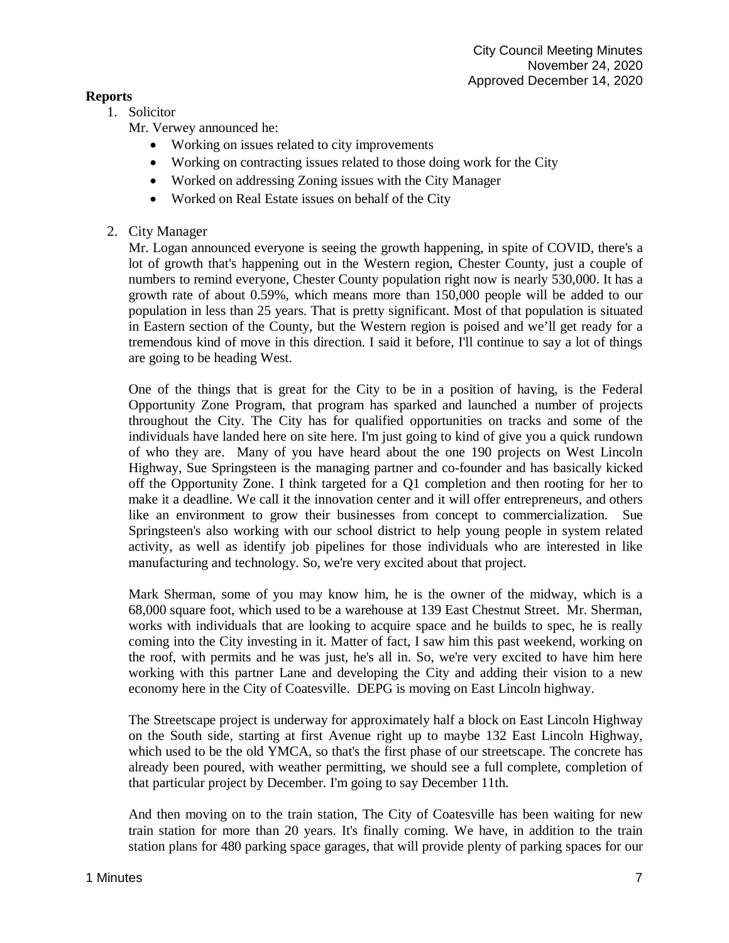## **Reports**

1. Solicitor

Mr. Verwey announced he:

- Working on issues related to city improvements
- Working on contracting issues related to those doing work for the City
- Worked on addressing Zoning issues with the City Manager
- Worked on Real Estate issues on behalf of the City

# 2. City Manager

Mr. Logan announced everyone is seeing the growth happening, in spite of COVID, there's a lot of growth that's happening out in the Western region, Chester County, just a couple of numbers to remind everyone, Chester County population right now is nearly 530,000. It has a growth rate of about 0.59%, which means more than 150,000 people will be added to our population in less than 25 years. That is pretty significant. Most of that population is situated in Eastern section of the County, but the Western region is poised and we'll get ready for a tremendous kind of move in this direction. I said it before, I'll continue to say a lot of things are going to be heading West.

One of the things that is great for the City to be in a position of having, is the Federal Opportunity Zone Program, that program has sparked and launched a number of projects throughout the City. The City has for qualified opportunities on tracks and some of the individuals have landed here on site here. I'm just going to kind of give you a quick rundown of who they are. Many of you have heard about the one 190 projects on West Lincoln Highway, Sue Springsteen is the managing partner and co-founder and has basically kicked off the Opportunity Zone. I think targeted for a Q1 completion and then rooting for her to make it a deadline. We call it the innovation center and it will offer entrepreneurs, and others like an environment to grow their businesses from concept to commercialization. Sue Springsteen's also working with our school district to help young people in system related activity, as well as identify job pipelines for those individuals who are interested in like manufacturing and technology. So, we're very excited about that project.

Mark Sherman, some of you may know him, he is the owner of the midway, which is a 68,000 square foot, which used to be a warehouse at 139 East Chestnut Street. Mr. Sherman, works with individuals that are looking to acquire space and he builds to spec, he is really coming into the City investing in it. Matter of fact, I saw him this past weekend, working on the roof, with permits and he was just, he's all in. So, we're very excited to have him here working with this partner Lane and developing the City and adding their vision to a new economy here in the City of Coatesville. DEPG is moving on East Lincoln highway.

The Streetscape project is underway for approximately half a block on East Lincoln Highway on the South side, starting at first Avenue right up to maybe 132 East Lincoln Highway, which used to be the old YMCA, so that's the first phase of our streetscape. The concrete has already been poured, with weather permitting, we should see a full complete, completion of that particular project by December. I'm going to say December 11th.

And then moving on to the train station, The City of Coatesville has been waiting for new train station for more than 20 years. It's finally coming. We have, in addition to the train station plans for 480 parking space garages, that will provide plenty of parking spaces for our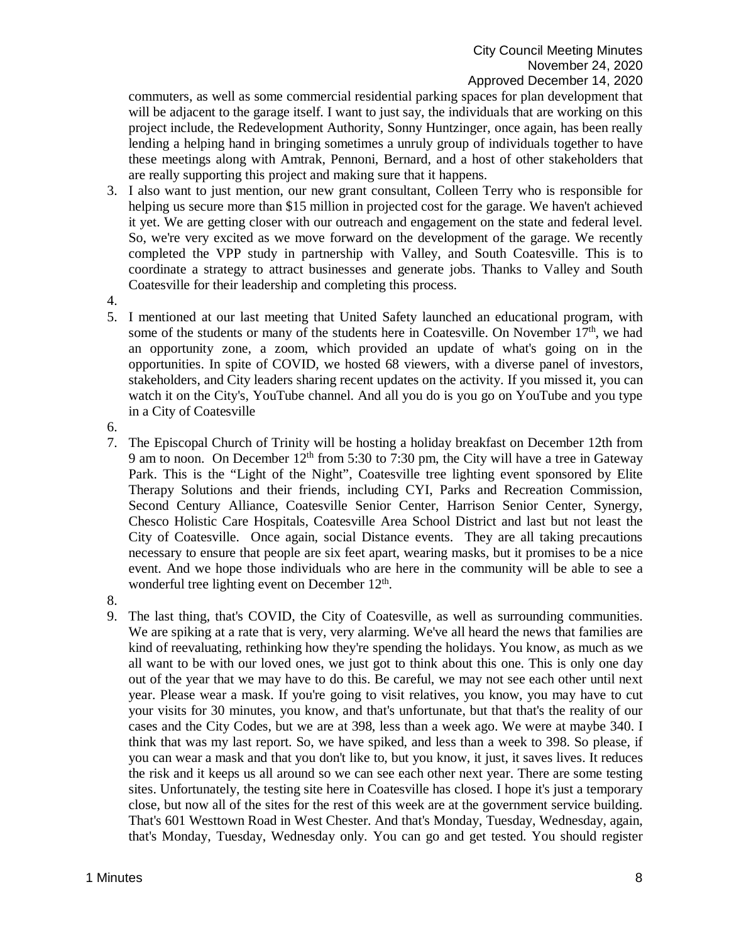commuters, as well as some commercial residential parking spaces for plan development that will be adjacent to the garage itself. I want to just say, the individuals that are working on this project include, the Redevelopment Authority, Sonny Huntzinger, once again, has been really lending a helping hand in bringing sometimes a unruly group of individuals together to have these meetings along with Amtrak, Pennoni, Bernard, and a host of other stakeholders that are really supporting this project and making sure that it happens.

- 3. I also want to just mention, our new grant consultant, Colleen Terry who is responsible for helping us secure more than \$15 million in projected cost for the garage. We haven't achieved it yet. We are getting closer with our outreach and engagement on the state and federal level. So, we're very excited as we move forward on the development of the garage. We recently completed the VPP study in partnership with Valley, and South Coatesville. This is to coordinate a strategy to attract businesses and generate jobs. Thanks to Valley and South Coatesville for their leadership and completing this process.
- 4.
- 5. I mentioned at our last meeting that United Safety launched an educational program, with some of the students or many of the students here in Coatesville. On November  $17<sup>th</sup>$ , we had an opportunity zone, a zoom, which provided an update of what's going on in the opportunities. In spite of COVID, we hosted 68 viewers, with a diverse panel of investors, stakeholders, and City leaders sharing recent updates on the activity. If you missed it, you can watch it on the City's, YouTube channel. And all you do is you go on YouTube and you type in a City of Coatesville
- 6.
- 7. The Episcopal Church of Trinity will be hosting a holiday breakfast on December 12th from 9 am to noon. On December  $12<sup>th</sup>$  from 5:30 to 7:30 pm, the City will have a tree in Gateway Park. This is the "Light of the Night", Coatesville tree lighting event sponsored by Elite Therapy Solutions and their friends, including CYI, Parks and Recreation Commission, Second Century Alliance, Coatesville Senior Center, Harrison Senior Center, Synergy, Chesco Holistic Care Hospitals, Coatesville Area School District and last but not least the City of Coatesville. Once again, social Distance events. They are all taking precautions necessary to ensure that people are six feet apart, wearing masks, but it promises to be a nice event. And we hope those individuals who are here in the community will be able to see a wonderful tree lighting event on December 12<sup>th</sup>.
- 8.
- 9. The last thing, that's COVID, the City of Coatesville, as well as surrounding communities. We are spiking at a rate that is very, very alarming. We've all heard the news that families are kind of reevaluating, rethinking how they're spending the holidays. You know, as much as we all want to be with our loved ones, we just got to think about this one. This is only one day out of the year that we may have to do this. Be careful, we may not see each other until next year. Please wear a mask. If you're going to visit relatives, you know, you may have to cut your visits for 30 minutes, you know, and that's unfortunate, but that that's the reality of our cases and the City Codes, but we are at 398, less than a week ago. We were at maybe 340. I think that was my last report. So, we have spiked, and less than a week to 398. So please, if you can wear a mask and that you don't like to, but you know, it just, it saves lives. It reduces the risk and it keeps us all around so we can see each other next year. There are some testing sites. Unfortunately, the testing site here in Coatesville has closed. I hope it's just a temporary close, but now all of the sites for the rest of this week are at the government service building. That's 601 Westtown Road in West Chester. And that's Monday, Tuesday, Wednesday, again, that's Monday, Tuesday, Wednesday only. You can go and get tested. You should register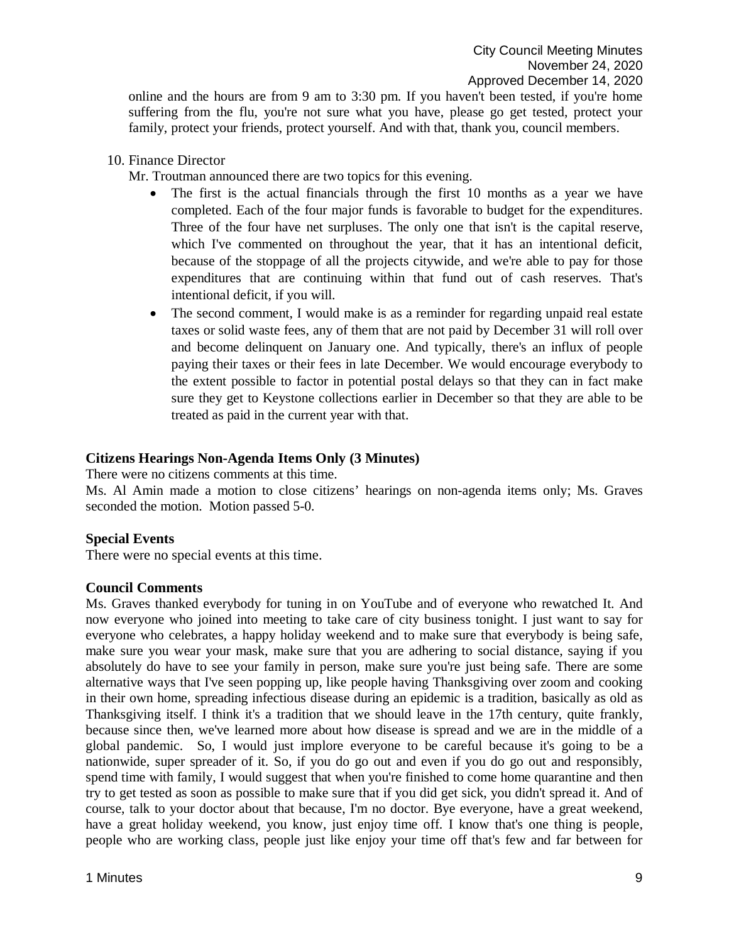online and the hours are from 9 am to 3:30 pm. If you haven't been tested, if you're home suffering from the flu, you're not sure what you have, please go get tested, protect your family, protect your friends, protect yourself. And with that, thank you, council members.

10. Finance Director

Mr. Troutman announced there are two topics for this evening.

- The first is the actual financials through the first 10 months as a year we have completed. Each of the four major funds is favorable to budget for the expenditures. Three of the four have net surpluses. The only one that isn't is the capital reserve, which I've commented on throughout the year, that it has an intentional deficit, because of the stoppage of all the projects citywide, and we're able to pay for those expenditures that are continuing within that fund out of cash reserves. That's intentional deficit, if you will.
- The second comment, I would make is as a reminder for regarding unpaid real estate taxes or solid waste fees, any of them that are not paid by December 31 will roll over and become delinquent on January one. And typically, there's an influx of people paying their taxes or their fees in late December. We would encourage everybody to the extent possible to factor in potential postal delays so that they can in fact make sure they get to Keystone collections earlier in December so that they are able to be treated as paid in the current year with that.

## **Citizens Hearings Non-Agenda Items Only (3 Minutes)**

There were no citizens comments at this time.

Ms. Al Amin made a motion to close citizens' hearings on non-agenda items only; Ms. Graves seconded the motion. Motion passed 5-0.

## **Special Events**

There were no special events at this time.

## **Council Comments**

Ms. Graves thanked everybody for tuning in on YouTube and of everyone who rewatched It. And now everyone who joined into meeting to take care of city business tonight. I just want to say for everyone who celebrates, a happy holiday weekend and to make sure that everybody is being safe, make sure you wear your mask, make sure that you are adhering to social distance, saying if you absolutely do have to see your family in person, make sure you're just being safe. There are some alternative ways that I've seen popping up, like people having Thanksgiving over zoom and cooking in their own home, spreading infectious disease during an epidemic is a tradition, basically as old as Thanksgiving itself. I think it's a tradition that we should leave in the 17th century, quite frankly, because since then, we've learned more about how disease is spread and we are in the middle of a global pandemic. So, I would just implore everyone to be careful because it's going to be a nationwide, super spreader of it. So, if you do go out and even if you do go out and responsibly, spend time with family, I would suggest that when you're finished to come home quarantine and then try to get tested as soon as possible to make sure that if you did get sick, you didn't spread it. And of course, talk to your doctor about that because, I'm no doctor. Bye everyone, have a great weekend, have a great holiday weekend, you know, just enjoy time off. I know that's one thing is people, people who are working class, people just like enjoy your time off that's few and far between for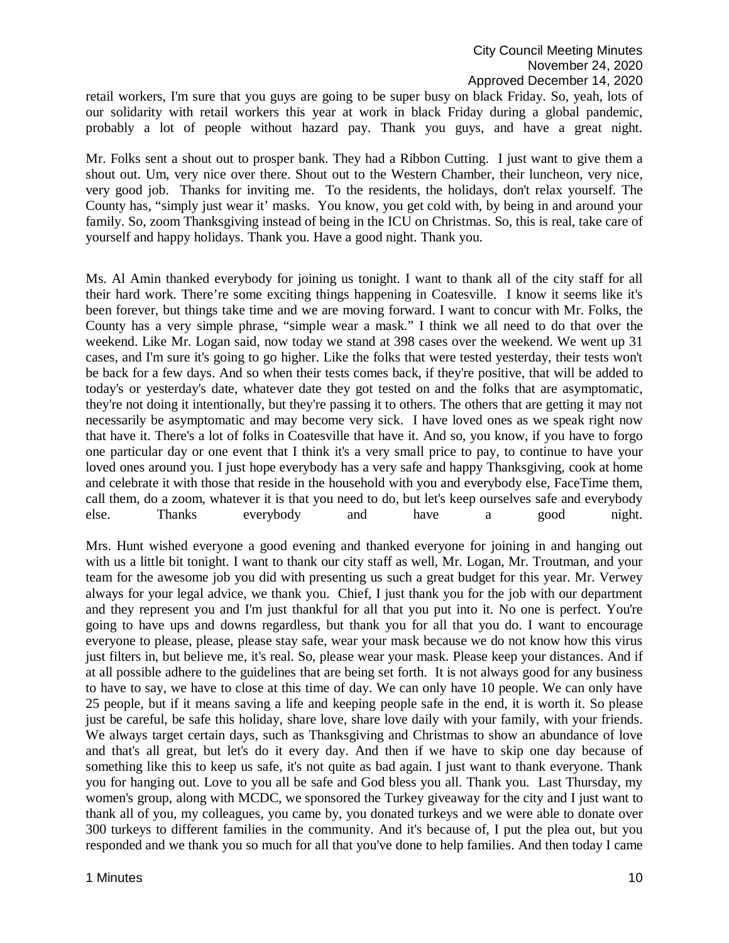retail workers, I'm sure that you guys are going to be super busy on black Friday. So, yeah, lots of our solidarity with retail workers this year at work in black Friday during a global pandemic, probably a lot of people without hazard pay. Thank you guys, and have a great night.

Mr. Folks sent a shout out to prosper bank. They had a Ribbon Cutting. I just want to give them a shout out. Um, very nice over there. Shout out to the Western Chamber, their luncheon, very nice, very good job. Thanks for inviting me. To the residents, the holidays, don't relax yourself. The County has, "simply just wear it' masks. You know, you get cold with, by being in and around your family. So, zoom Thanksgiving instead of being in the ICU on Christmas. So, this is real, take care of yourself and happy holidays. Thank you. Have a good night. Thank you.

Ms. Al Amin thanked everybody for joining us tonight. I want to thank all of the city staff for all their hard work. There're some exciting things happening in Coatesville. I know it seems like it's been forever, but things take time and we are moving forward. I want to concur with Mr. Folks, the County has a very simple phrase, "simple wear a mask." I think we all need to do that over the weekend. Like Mr. Logan said, now today we stand at 398 cases over the weekend. We went up 31 cases, and I'm sure it's going to go higher. Like the folks that were tested yesterday, their tests won't be back for a few days. And so when their tests comes back, if they're positive, that will be added to today's or yesterday's date, whatever date they got tested on and the folks that are asymptomatic, they're not doing it intentionally, but they're passing it to others. The others that are getting it may not necessarily be asymptomatic and may become very sick. I have loved ones as we speak right now that have it. There's a lot of folks in Coatesville that have it. And so, you know, if you have to forgo one particular day or one event that I think it's a very small price to pay, to continue to have your loved ones around you. I just hope everybody has a very safe and happy Thanksgiving, cook at home and celebrate it with those that reside in the household with you and everybody else, FaceTime them, call them, do a zoom, whatever it is that you need to do, but let's keep ourselves safe and everybody else. Thanks everybody and have a good night.

Mrs. Hunt wished everyone a good evening and thanked everyone for joining in and hanging out with us a little bit tonight. I want to thank our city staff as well, Mr. Logan, Mr. Troutman, and your team for the awesome job you did with presenting us such a great budget for this year. Mr. Verwey always for your legal advice, we thank you. Chief, I just thank you for the job with our department and they represent you and I'm just thankful for all that you put into it. No one is perfect. You're going to have ups and downs regardless, but thank you for all that you do. I want to encourage everyone to please, please, please stay safe, wear your mask because we do not know how this virus just filters in, but believe me, it's real. So, please wear your mask. Please keep your distances. And if at all possible adhere to the guidelines that are being set forth. It is not always good for any business to have to say, we have to close at this time of day. We can only have 10 people. We can only have 25 people, but if it means saving a life and keeping people safe in the end, it is worth it. So please just be careful, be safe this holiday, share love, share love daily with your family, with your friends. We always target certain days, such as Thanksgiving and Christmas to show an abundance of love and that's all great, but let's do it every day. And then if we have to skip one day because of something like this to keep us safe, it's not quite as bad again. I just want to thank everyone. Thank you for hanging out. Love to you all be safe and God bless you all. Thank you. Last Thursday, my women's group, along with MCDC, we sponsored the Turkey giveaway for the city and I just want to thank all of you, my colleagues, you came by, you donated turkeys and we were able to donate over 300 turkeys to different families in the community. And it's because of, I put the plea out, but you responded and we thank you so much for all that you've done to help families. And then today I came